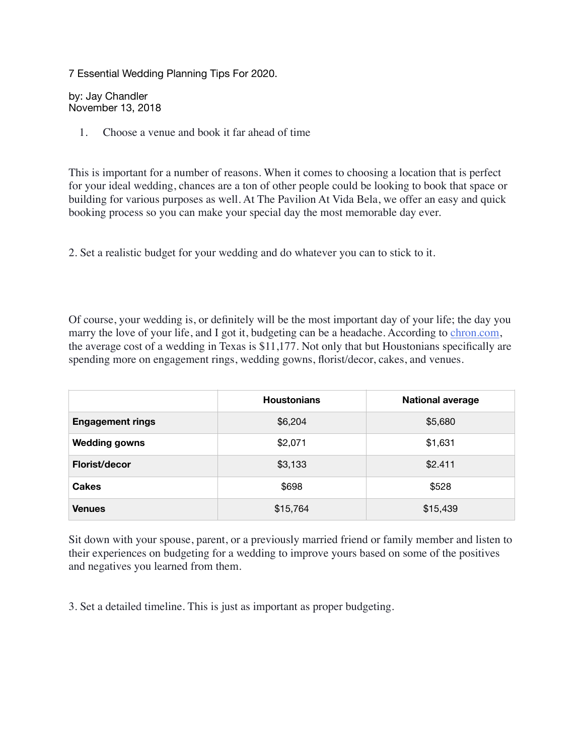7 Essential Wedding Planning Tips For 2020.

by: Jay Chandler November 13, 2018

1. Choose a venue and book it far ahead of time

This is important for a number of reasons. When it comes to choosing a location that is perfect for your ideal wedding, chances are a ton of other people could be looking to book that space or building for various purposes as well. At The Pavilion At Vida Bela, we offer an easy and quick booking process so you can make your special day the most memorable day ever.

2. Set a realistic budget for your wedding and do whatever you can to stick to it.

Of course, your wedding is, or definitely will be the most important day of your life; the day you marry the love of your life, and I got it, budgeting can be a headache. According to [chron.com,](https://www.chron.com/life/weddings-and-celebrations/article/How-much-the-average-wedding-costs-item-by-item-6071157.php) the average cost of a wedding in Texas is \$11,177. Not only that but Houstonians specifically are spending more on engagement rings, wedding gowns, florist/decor, cakes, and venues.

|                         | <b>Houstonians</b> | <b>National average</b> |
|-------------------------|--------------------|-------------------------|
| <b>Engagement rings</b> | \$6,204            | \$5,680                 |
| <b>Wedding gowns</b>    | \$2,071            | \$1,631                 |
| Florist/decor           | \$3,133            | \$2.411                 |
| <b>Cakes</b>            | \$698              | \$528                   |
| <b>Venues</b>           | \$15,764           | \$15,439                |

Sit down with your spouse, parent, or a previously married friend or family member and listen to their experiences on budgeting for a wedding to improve yours based on some of the positives and negatives you learned from them.

3. Set a detailed timeline. This is just as important as proper budgeting.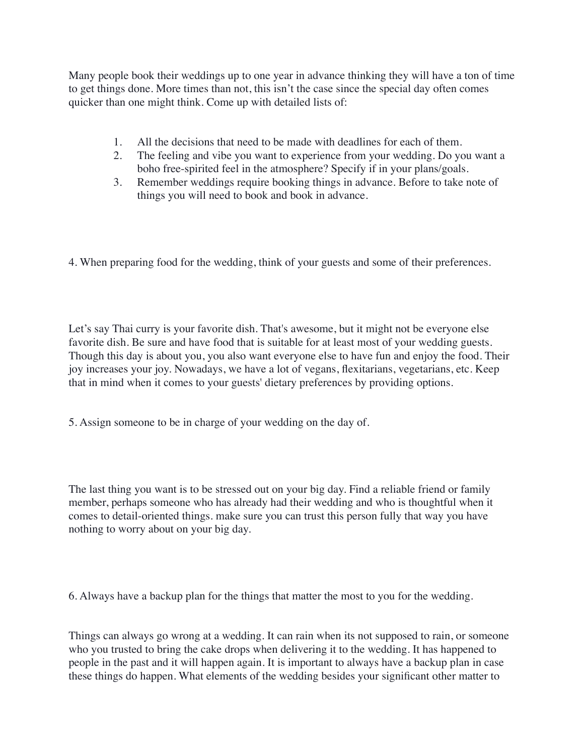Many people book their weddings up to one year in advance thinking they will have a ton of time to get things done. More times than not, this isn't the case since the special day often comes quicker than one might think. Come up with detailed lists of:

- 1. All the decisions that need to be made with deadlines for each of them.
- 2. The feeling and vibe you want to experience from your wedding. Do you want a boho free-spirited feel in the atmosphere? Specify if in your plans/goals.
- 3. Remember weddings require booking things in advance. Before to take note of things you will need to book and book in advance.

4. When preparing food for the wedding, think of your guests and some of their preferences.

Let's say Thai curry is your favorite dish. That's awesome, but it might not be everyone else favorite dish. Be sure and have food that is suitable for at least most of your wedding guests. Though this day is about you, you also want everyone else to have fun and enjoy the food. Their joy increases your joy. Nowadays, we have a lot of vegans, flexitarians, vegetarians, etc. Keep that in mind when it comes to your guests' dietary preferences by providing options.

5. Assign someone to be in charge of your wedding on the day of.

The last thing you want is to be stressed out on your big day. Find a reliable friend or family member, perhaps someone who has already had their wedding and who is thoughtful when it comes to detail-oriented things. make sure you can trust this person fully that way you have nothing to worry about on your big day.

6. Always have a backup plan for the things that matter the most to you for the wedding.

Things can always go wrong at a wedding. It can rain when its not supposed to rain, or someone who you trusted to bring the cake drops when delivering it to the wedding. It has happened to people in the past and it will happen again. It is important to always have a backup plan in case these things do happen. What elements of the wedding besides your significant other matter to